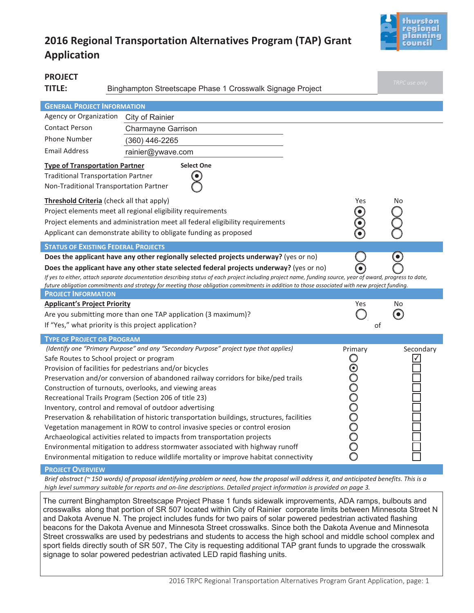# **2016 Regional Transportation Alternatives Program (TAP) Grant Application**



| <b>PROJECT</b><br>TITLE:                                                                                                                                                                                                                                                                                                                                                                                                                                                                                                                                                              | Binghampton Streetscape Phase 1 Crosswalk Signage Project                                                                                                                                                                                                                                                                                                                                                                                                                                                                                                                                                                                                                                                                                                                                                                                              |                       | TRPC use only |  |  |
|---------------------------------------------------------------------------------------------------------------------------------------------------------------------------------------------------------------------------------------------------------------------------------------------------------------------------------------------------------------------------------------------------------------------------------------------------------------------------------------------------------------------------------------------------------------------------------------|--------------------------------------------------------------------------------------------------------------------------------------------------------------------------------------------------------------------------------------------------------------------------------------------------------------------------------------------------------------------------------------------------------------------------------------------------------------------------------------------------------------------------------------------------------------------------------------------------------------------------------------------------------------------------------------------------------------------------------------------------------------------------------------------------------------------------------------------------------|-----------------------|---------------|--|--|
| <b>GENERAL PROJECT INFORMATION</b>                                                                                                                                                                                                                                                                                                                                                                                                                                                                                                                                                    |                                                                                                                                                                                                                                                                                                                                                                                                                                                                                                                                                                                                                                                                                                                                                                                                                                                        |                       |               |  |  |
| Agency or Organization City of Rainier                                                                                                                                                                                                                                                                                                                                                                                                                                                                                                                                                |                                                                                                                                                                                                                                                                                                                                                                                                                                                                                                                                                                                                                                                                                                                                                                                                                                                        |                       |               |  |  |
| <b>Contact Person</b>                                                                                                                                                                                                                                                                                                                                                                                                                                                                                                                                                                 | <b>Charmayne Garrison</b>                                                                                                                                                                                                                                                                                                                                                                                                                                                                                                                                                                                                                                                                                                                                                                                                                              |                       |               |  |  |
| <b>Phone Number</b>                                                                                                                                                                                                                                                                                                                                                                                                                                                                                                                                                                   | (360) 446-2265                                                                                                                                                                                                                                                                                                                                                                                                                                                                                                                                                                                                                                                                                                                                                                                                                                         |                       |               |  |  |
| <b>Email Address</b>                                                                                                                                                                                                                                                                                                                                                                                                                                                                                                                                                                  | rainier@ywave.com                                                                                                                                                                                                                                                                                                                                                                                                                                                                                                                                                                                                                                                                                                                                                                                                                                      |                       |               |  |  |
| <b>Type of Transportation Partner</b><br><b>Select One</b><br><b>Traditional Transportation Partner</b><br>Non-Traditional Transportation Partner<br>Threshold Criteria (check all that apply)<br>Yes<br>No<br>Project elements meet all regional eligibility requirements                                                                                                                                                                                                                                                                                                            |                                                                                                                                                                                                                                                                                                                                                                                                                                                                                                                                                                                                                                                                                                                                                                                                                                                        |                       |               |  |  |
|                                                                                                                                                                                                                                                                                                                                                                                                                                                                                                                                                                                       | Project elements and administration meet all federal eligibility requirements<br>Applicant can demonstrate ability to obligate funding as proposed                                                                                                                                                                                                                                                                                                                                                                                                                                                                                                                                                                                                                                                                                                     |                       |               |  |  |
| <b>STATUS OF EXISTING FEDERAL PROJECTS</b>                                                                                                                                                                                                                                                                                                                                                                                                                                                                                                                                            | Does the applicant have any other regionally selected projects underway? (yes or no)                                                                                                                                                                                                                                                                                                                                                                                                                                                                                                                                                                                                                                                                                                                                                                   |                       | $\bullet$     |  |  |
| Does the applicant have any other state selected federal projects underway? (yes or no)<br>If yes to either, attach separate documentation describing status of each project including project name, funding source, year of award, progress to date,<br>future obligation commitments and strategy for meeting those obligation commitments in addition to those associated with new project funding.<br><b>PROJECT INFORMATION</b><br><b>Applicant's Project Priority</b><br>Yes<br>No<br>$\left( \bullet \right)$<br>Are you submitting more than one TAP application (3 maximum)? |                                                                                                                                                                                                                                                                                                                                                                                                                                                                                                                                                                                                                                                                                                                                                                                                                                                        |                       |               |  |  |
| If "Yes," what priority is this project application?                                                                                                                                                                                                                                                                                                                                                                                                                                                                                                                                  |                                                                                                                                                                                                                                                                                                                                                                                                                                                                                                                                                                                                                                                                                                                                                                                                                                                        | οf                    |               |  |  |
| <b>TYPE OF PROJECT OR PROGRAM</b><br>Safe Routes to School project or program                                                                                                                                                                                                                                                                                                                                                                                                                                                                                                         | (Identify one "Primary Purpose" and any "Secondary Purpose" project type that applies)<br>Provision of facilities for pedestrians and/or bicycles<br>Preservation and/or conversion of abandoned railway corridors for bike/ped trails<br>Construction of turnouts, overlooks, and viewing areas<br>Recreational Trails Program (Section 206 of title 23)<br>Inventory, control and removal of outdoor advertising<br>Preservation & rehabilitation of historic transportation buildings, structures, facilities<br>Vegetation management in ROW to control invasive species or control erosion<br>Archaeological activities related to impacts from transportation projects<br>Environmental mitigation to address stormwater associated with highway runoff<br>Environmental mitigation to reduce wildlife mortality or improve habitat connectivity | Primary<br>0000000000 | Secondary     |  |  |
| <b>PROJECT OVERVIEW</b>                                                                                                                                                                                                                                                                                                                                                                                                                                                                                                                                                               |                                                                                                                                                                                                                                                                                                                                                                                                                                                                                                                                                                                                                                                                                                                                                                                                                                                        |                       |               |  |  |

*Brief abstract (~ 150 words) of proposal identifying problem or need, how the proposal will address it, and anticipated benefits. This is a high level summary suitable for reports and on-line descriptions. Detailed project information is provided on page 3.*

The current Binghampton Streetscape Project Phase 1 funds sidewalk improvements, ADA ramps, bulbouts and crosswalks along that portion of SR 507 located within City of Rainier corporate limits between Minnesota Street N and Dakota Avenue N. The project includes funds for two pairs of solar powered pedestrian activated flashing beacons for the Dakota Avenue and Minnesota Street crosswalks. Since both the Dakota Avenue and Minnesota Street crosswalks are used by pedestrians and students to access the high school and middle school complex and sport fields directly south of SR 507, The City is requesting additional TAP grant funds to upgrade the crosswalk signage to solar powered pedestrian activated LED rapid flashing units.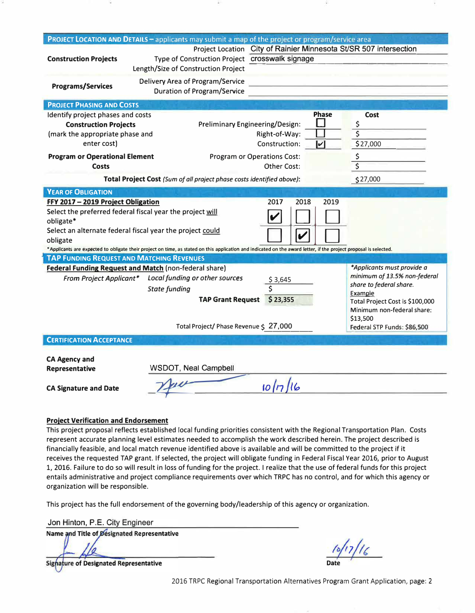|                                                                                   | PROJECT LOCATION AND DETAILS - applicants may submit a map of the project or program/service area                                                                  |                                                                   |                                         |  |
|-----------------------------------------------------------------------------------|--------------------------------------------------------------------------------------------------------------------------------------------------------------------|-------------------------------------------------------------------|-----------------------------------------|--|
|                                                                                   |                                                                                                                                                                    | Project Location City of Rainier Minnesota St/SR 507 intersection |                                         |  |
| <b>Construction Projects</b>                                                      | Type of Construction Project crosswalk signage<br>Length/Size of Construction Project                                                                              |                                                                   |                                         |  |
|                                                                                   | Delivery Area of Program/Service                                                                                                                                   |                                                                   |                                         |  |
| <b>Programs/Services</b>                                                          | <b>Duration of Program/Service</b>                                                                                                                                 |                                                                   |                                         |  |
| <b>PROJECT PHASING AND COSTS</b>                                                  |                                                                                                                                                                    |                                                                   |                                         |  |
| Identify project phases and costs                                                 |                                                                                                                                                                    | <b>Phase</b>                                                      | <b>Cost</b>                             |  |
| Preliminary Engineering/Design:<br><b>Construction Projects</b>                   |                                                                                                                                                                    |                                                                   | \$                                      |  |
| (mark the appropriate phase and                                                   |                                                                                                                                                                    | Right-of-Way:                                                     | \$                                      |  |
| enter cost)                                                                       |                                                                                                                                                                    | v<br>Construction:                                                | \$27,000                                |  |
| <b>Program or Operational Element</b><br><b>Program or Operations Cost:</b>       |                                                                                                                                                                    |                                                                   | \$                                      |  |
| <b>Costs</b>                                                                      |                                                                                                                                                                    | Other Cost:                                                       | $\overline{\boldsymbol{\varsigma}}$     |  |
| Total Project Cost (Sum of all praject phase costs identified above):<br>\$27,000 |                                                                                                                                                                    |                                                                   |                                         |  |
| <b>YEAR OF OBLIGATION</b>                                                         |                                                                                                                                                                    |                                                                   |                                         |  |
| FFY 2017 - 2019 Project Obligation                                                |                                                                                                                                                                    | 2017<br>2018<br>2019                                              |                                         |  |
| Select the preferred federal fiscal year the project will                         |                                                                                                                                                                    |                                                                   |                                         |  |
| obligate*                                                                         |                                                                                                                                                                    |                                                                   |                                         |  |
| Select an alternate federal fiscal year the project could<br>V                    |                                                                                                                                                                    |                                                                   |                                         |  |
| obligate                                                                          | * Applicants are expected to obligate their project on time, as stated on this application and indicated on the award letter, if the project proposal is selected. |                                                                   |                                         |  |
| <b>TAP FUNDING REQUEST AND MATCHING REVENUES</b>                                  |                                                                                                                                                                    |                                                                   |                                         |  |
| <b>Federal Funding Request and Match (non-federal share)</b>                      |                                                                                                                                                                    |                                                                   | *Applicants must provide a              |  |
|                                                                                   | From Project Applicant* Local funding or other sources                                                                                                             | \$3,645                                                           | minimum of 13.5% non-federal            |  |
|                                                                                   | <b>State funding</b>                                                                                                                                               | Ś.                                                                | share to federal share.<br>Example      |  |
|                                                                                   | <b>TAP Grant Request</b>                                                                                                                                           | \$23,355                                                          | Total Project Cost is \$100,000         |  |
|                                                                                   |                                                                                                                                                                    |                                                                   | Minimum non-federal share:              |  |
|                                                                                   | Total Project/ Phase Revenue \$ 27,000                                                                                                                             |                                                                   | \$13,500<br>Federal STP Funds: \$86,500 |  |
|                                                                                   |                                                                                                                                                                    |                                                                   |                                         |  |
| <b>CERTIFICATION ACCEPTANCE</b>                                                   |                                                                                                                                                                    |                                                                   |                                         |  |
| <b>CA Agency and</b>                                                              |                                                                                                                                                                    |                                                                   |                                         |  |
| Representative                                                                    | <b>WSDOT, Neal Campbell</b>                                                                                                                                        |                                                                   |                                         |  |
|                                                                                   |                                                                                                                                                                    |                                                                   |                                         |  |
| <b>CA Signature and Date</b>                                                      |                                                                                                                                                                    |                                                                   |                                         |  |
|                                                                                   |                                                                                                                                                                    |                                                                   |                                         |  |
|                                                                                   |                                                                                                                                                                    |                                                                   |                                         |  |

### **Project Verification and Endorsement**

This project proposal reflects established local funding priorities consistent with the Regional Transportation Plan. Costs represent accurate planning level estimates needed to accomplish the work described herein. The project described is financially feasible, and local match revenue identified above is available and will be committed to the project if it receives the requested TAP grant. If selected, the project will obligate funding in Federal Fiscal Year 2016, prior to August 1, 2016. Failure to do so will result in loss of funding for the project. I realize that the use of federal funds for this project entails administrative and project compliance requirements over which TRPC has no control, and for which this agency or organization will be responsible.

This project has the full endorsement of the governing body/leadership of this agency or organization.

Jon Hinton, P.E. City Engineer

Name and Title of Designated Representative

Signature of Designated Representative

 $10/17/16$ 

2016 TRPC Regional Transportation Alternatives Program Grant Application, page: 2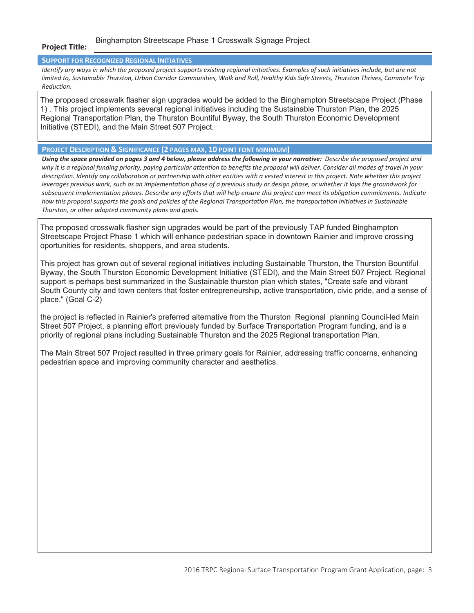#### **Project Title:**  Binghampton Streetscape Phase 1 Crosswalk Signage Project

## **SUPPORT FOR RECOGNIZED REGIONAL INITIATIVES**

*Identify any ways in which the proposed project supports existing regional initiatives. Examples of such initiatives include, but are not limited to, Sustainable Thurston, Urban Corridor Communities, Walk and Roll, Healthy Kids Safe Streets, Thurston Thrives, Commute Trip Reduction.* 

The proposed crosswalk flasher sign upgrades would be added to the Binghampton Streetscape Proiect (Phase 1). This project implements several regional initiatives including the Sustainable Thurston Plan, the 2025 Regional Transportation Plan, the Thurston Bountiful Byway, the South Thurston Economic Development Initiative (STEDI), and the Main Street 507 Project.

## **PROJECT DESCRIPTION & SIGNIFICANCE (2 PAGES MAX, 10 POINT FONT MINIMUM)**

*Using the space provided on pages 3 and 4 below, please address the following in your narrative: Describe the proposed project and why it is a regional funding priority, paying particular attention to benefits the proposal will deliver. Consider all modes of travel in your*  description. Identify any collaboration or partnership with other entities with a vested interest in this project. Note whether this project *leverages previous work, such as an implementation phase of a previous study or design phase, or whether it lays the groundwork for subsequent implementation phases. Describe any efforts that will help ensure this project can meet its obligation commitments. Indicate how this proposal supports the goals and policies of the Regional Transportation Plan, the transportation initiatives in Sustainable Thurston, or other adopted community plans and goals.*

The proposed crosswalk flasher sign upgrades would be part of the previously TAP funded Binghampton Streetscape Project Phase 1 which will enhance pedestrian space in downtown Rainier and improve crossing oportunities for residents, shoppers, and area students,

This project has grown out of several regional initiatives including Sustainable Thurston, the Thurston Bountiful Byway, the South Thurston Economic Development Initiative (STEDI), and the Main Street 507 Project. Regional support is perhaps best summarized in the Sustainable thurston plan which states, "Create safe and vibrant South County city and town centers that foster entrepreneurship, active transportation, civic pride, and a sense of place." (Goal C-2)

the project is reflected in Rainier's preferred alternative from the Thurston Regional planning Council-led Main Street 507 Project, a planning effort previously funded by Surface Transportation Program funding, and is a priority of regional plans including Sustainable Thurston and the 2025 Regional transportation Plan.

The Main Street 507 Project resulted in three primary goals for Rainier, addressing traffic concerns, enhancing pedestrian space and improving community character and aesthetics.